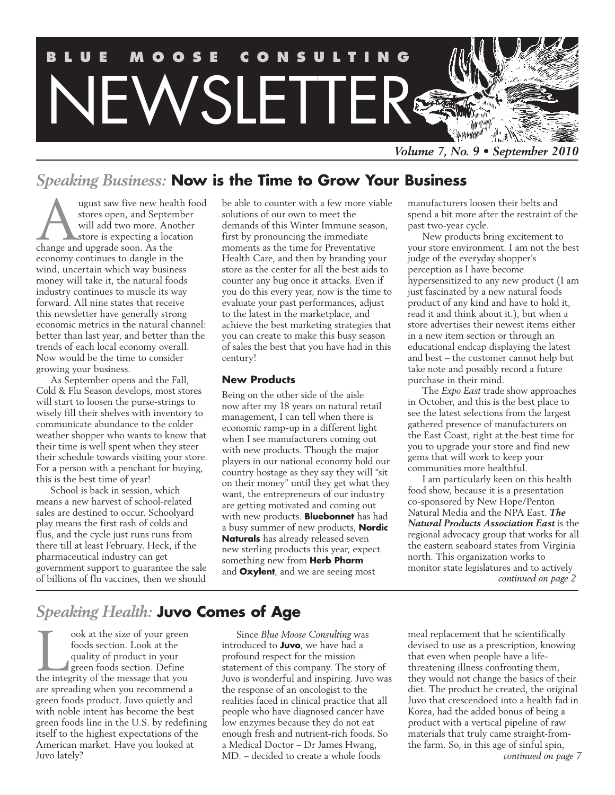

# *Speaking Business:* **Now is the Time to Grow Your Business**

ugust saw five new health food stores open, and September will add two more. Another store is expecting a location change and upgrade soon. As the economy continues to dangle in the wind, uncertain which way business money will take it, the natural foods industry continues to muscle its way forward. All nine states that receive this newsletter have generally strong economic metrics in the natural channel: better than last year, and better than the trends of each local economy overall. Now would be the time to consider growing your business.

As September opens and the Fall, Cold & Flu Season develops, most stores will start to loosen the purse-strings to wisely fill their shelves with inventory to communicate abundance to the colder weather shopper who wants to know that their time is well spent when they steer their schedule towards visiting your store. For a person with a penchant for buying, this is the best time of year!

School is back in session, which means a new harvest of school-related sales are destined to occur. Schoolyard play means the first rash of colds and flus, and the cycle just runs runs from there till at least February. Heck, if the pharmaceutical industry can get government support to guarantee the sale of billions of flu vaccines, then we should

be able to counter with a few more viable solutions of our own to meet the demands of this Winter Immune season, first by pronouncing the immediate moments as the time for Preventative Health Care, and then by branding your store as the center for all the best aids to counter any bug once it attacks. Even if you do this every year, now is the time to evaluate your past performances, adjust to the latest in the marketplace, and achieve the best marketing strategies that you can create to make this busy season of sales the best that you have had in this century!

#### **New Products**

Being on the other side of the aisle now after my 18 years on natural retail management, I can tell when there is economic ramp-up in a different light when I see manufacturers coming out with new products. Though the major players in our national economy hold our country hostage as they say they will "sit on their money" until they get what they want, the entrepreneurs of our industry are getting motivated and coming out with new products. **Bluebonnet** has had a busy summer of new products, **Nordic Naturals** has already released seven new sterling products this year, expect something new from **Herb Pharm** and **Oxylent**, and we are seeing most

manufacturers loosen their belts and spend a bit more after the restraint of the past two-year cycle.

New products bring excitement to your store environment. I am not the best judge of the everyday shopper's perception as I have become hypersensitized to any new product (I am just fascinated by a new natural foods product of any kind and have to hold it, read it and think about it.), but when a store advertises their newest items either in a new item section or through an educational endcap displaying the latest and best – the customer cannot help but take note and possibly record a future purchase in their mind.

The *Expo East* trade show approaches in October, and this is the best place to see the latest selections from the largest gathered presence of manufacturers on the East Coast, right at the best time for you to upgrade your store and find new gems that will work to keep your communities more healthful.

I am particularly keen on this health food show, because it is a presentation co-sponsored by New Hope/Penton Natural Media and the NPA East. *The Natural Products Association East* is the regional advocacy group that works for all the eastern seaboard states from Virginia north. This organization works to monitor state legislatures and to actively *continued on page 2*

# *Speaking Health:* **Juvo Comes of Age**

ook at the size of your green<br>foods section. Look at the<br>quality of product in your<br>green foods section. Define<br>the integrity of the message that you foods section. Look at the quality of product in your green foods section. Define are spreading when you recommend a green foods product. Juvo quietly and with noble intent has become the best green foods line in the U.S. by redefining itself to the highest expectations of the American market. Have you looked at Juvo lately?

Since *Blue Moose Consulting* was introduced to **Juvo**, we have had a profound respect for the mission statement of this company. The story of Juvo is wonderful and inspiring. Juvo was the response of an oncologist to the realities faced in clinical practice that all people who have diagnosed cancer have low enzymes because they do not eat enough fresh and nutrient-rich foods. So a Medical Doctor – Dr James Hwang, MD. – decided to create a whole foods

meal replacement that he scientifically devised to use as a prescription, knowing that even when people have a lifethreatening illness confronting them, they would not change the basics of their diet. The product he created, the original Juvo that crescendoed into a health fad in Korea, had the added bonus of being a product with a vertical pipeline of raw materials that truly came straight-fromthe farm. So, in this age of sinful spin, *continued on page 7*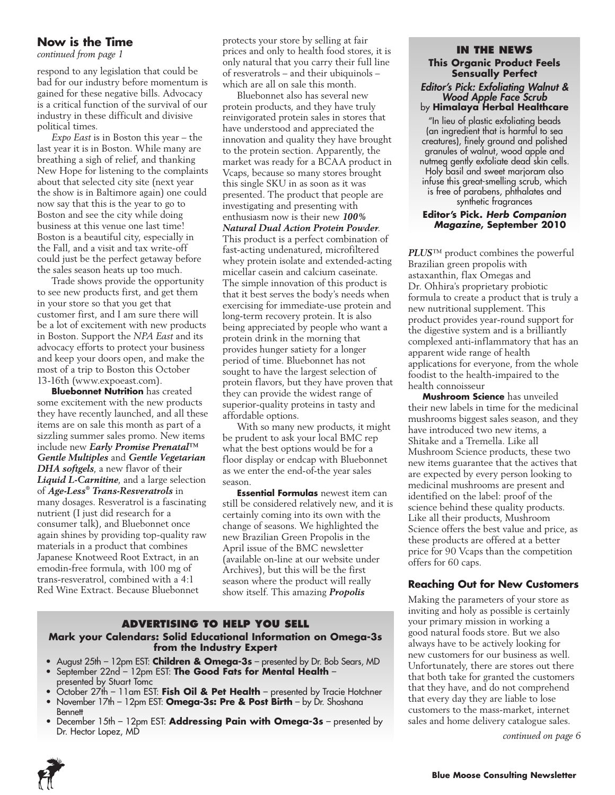### **Now is the Time**

respond to any legislation that could be bad for our industry before momentum is gained for these negative bills. Advocacy is a critical function of the survival of our industry in these difficult and divisive political times.

*Expo East* is in Boston this year – the last year it is in Boston. While many are breathing a sigh of relief, and thanking New Hope for listening to the complaints about that selected city site (next year the show is in Baltimore again) one could now say that this is the year to go to Boston and see the city while doing business at this venue one last time! Boston is a beautiful city, especially in the Fall, and a visit and tax write-off could just be the perfect getaway before the sales season heats up too much.

Trade shows provide the opportunity to see new products first, and get them in your store so that you get that customer first, and I am sure there will be a lot of excitement with new products in Boston. Support the *NPA East* and its advocacy efforts to protect your business and keep your doors open, and make the most of a trip to Boston this October 13-16th (www.expoeast.com).

**Bluebonnet Nutrition** has created some excitement with the new products they have recently launched, and all these items are on sale this month as part of a sizzling summer sales promo. New items include new *Early Promise Prenatal™ Gentle Multiples* and *Gentle Vegetarian DHA softgels*, a new flavor of their *Liquid L-Carnitine*, and a large selection of *Age-Less® Trans-Resveratrols* in many dosages. Resveratrol is a fascinating nutrient (I just did research for a consumer talk), and Bluebonnet once again shines by providing top-quality raw materials in a product that combines Japanese Knotweed Root Extract, in an emodin-free formula, with 100 mg of trans-resveratrol, combined with a 4:1 Red Wine Extract. Because Bluebonnet

protects your store by selling at fair prices and only to health food stores, it is *continued from page 1* **In the News** only natural that you carry their full line of resveratrols – and their ubiquinols – which are all on sale this month.

> Bluebonnet also has several new protein products, and they have truly reinvigorated protein sales in stores that have understood and appreciated the innovation and quality they have brought to the protein section. Apparently, the market was ready for a BCAA product in Vcaps, because so many stores brought this single SKU in as soon as it was presented. The product that people are investigating and presenting with enthusiasm now is their new *100% Natural Dual Action Protein Powder*. This product is a perfect combination of fast-acting undenatured, microfiltered whey protein isolate and extended-acting micellar casein and calcium caseinate. The simple innovation of this product is that it best serves the body's needs when exercising for immediate-use protein and long-term recovery protein. It is also being appreciated by people who want a protein drink in the morning that provides hunger satiety for a longer period of time. Bluebonnet has not sought to have the largest selection of protein flavors, but they have proven that they can provide the widest range of superior-quality proteins in tasty and affordable options.

With so many new products, it might be prudent to ask your local BMC rep what the best options would be for a floor display or endcap with Bluebonnet as we enter the end-of-the year sales season.

**Essential Formulas** newest item can still be considered relatively new, and it is certainly coming into its own with the change of seasons. We highlighted the new Brazilian Green Propolis in the April issue of the BMC newsletter (available on-line at our website under Archives), but this will be the first season where the product will really show itself. This amazing *Propolis* 

#### **Advertising to Help you Sell**

#### **Mark your Calendars: Solid Educational Information on Omega-3s from the Industry Expert**

- • August 25th 12pm EST: **Children & Omega-3s** presented by Dr. Bob Sears, MD
- • September 22nd 12pm EST: **The Good Fats for Mental Health** presented by Stuart Tomc
- • October 27th 11am EST: **Fish Oil & Pet Health** presented by Tracie Hotchner
- November 17th 12pm EST: **Omega-3s: Pre & Post Birth** by Dr. Shoshana **Bennett**
- • December 15th 12pm EST: **Addressing Pain with Omega-3s** presented by Dr. Hector Lopez, MD *continued on page 6*

### **This Organic Product Feels Sensually Perfect** *Editor's Pick: Exfoliating Walnut & Wood Apple Face Scrub* by **Himalaya Herbal Healthcare**

"In lieu of plastic exfoliating beads (an ingredient that is harmful to sea creatures), finely ground and polished granules of walnut, wood apple and nutmeg gently exfoliate dead skin cells. Holy basil and sweet marjoram also infuse this great-smelling scrub, which is free of parabens, phthalates and synthetic fragrances

#### **Editor's Pick.** *Herb Companion Magazine***, September 2010**

*PLUS*™ product combines the powerful Brazilian green propolis with astaxanthin, flax Omegas and Dr. Ohhira's proprietary probiotic formula to create a product that is truly a new nutritional supplement. This product provides year-round support for the digestive system and is a brilliantly complexed anti-inflammatory that has an apparent wide range of health applications for everyone, from the whole foodist to the health-impaired to the health connoisseur

**Mushroom Science** has unveiled their new labels in time for the medicinal mushrooms biggest sales season, and they have introduced two new items, a Shitake and a Tremella. Like all Mushroom Science products, these two new items guarantee that the actives that are expected by every person looking to medicinal mushrooms are present and identified on the label: proof of the science behind these quality products. Like all their products, Mushroom Science offers the best value and price, as these products are offered at a better price for 90 Vcaps than the competition offers for 60 caps.

#### **Reaching Out for New Customers**

Making the parameters of your store as inviting and holy as possible is certainly your primary mission in working a good natural foods store. But we also always have to be actively looking for new customers for our business as well. Unfortunately, there are stores out there that both take for granted the customers that they have, and do not comprehend that every day they are liable to lose customers to the mass-market, internet sales and home delivery catalogue sales.

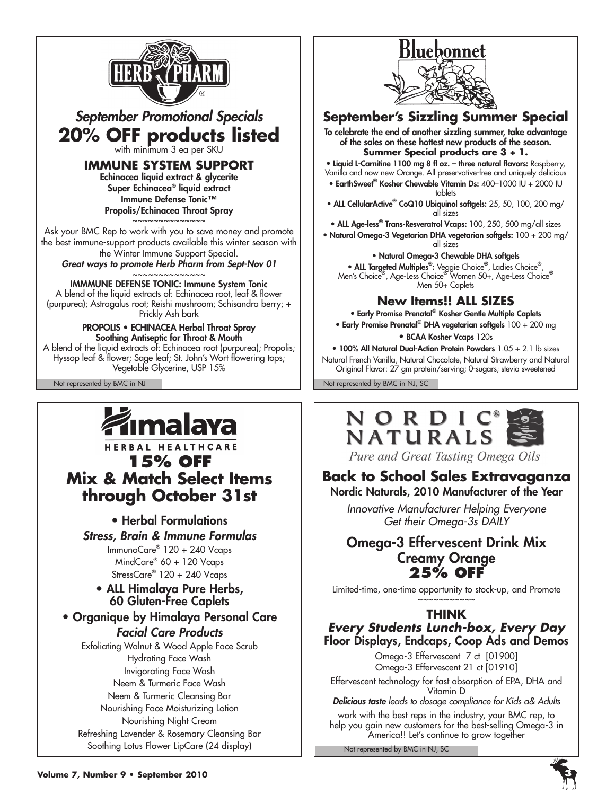

# *September Promotional Specials* **20% OFF products listed** with minimum 3 ea per SKU

**IMMUNE SYSTEM SUPPORT**

Echinacea liquid extract & glycerite Super Echinacea® liquid extract Immune Defense Tonic™ Propolis/Echinacea Throat Spray

~~~~~~~~~~~~~~ Ask your BMC Rep to work with you to save money and promote the best immune-support products available this winter season with the Winter Immune Support Special.

*Great ways to promote Herb Pharm from Sept-Nov 01* ~~~~~~~~~~~~~~

### IMMMUNE DEFENSE TONIC: Immune System Tonic

A blend of the liquid extracts of: Echinacea root, leaf & flower (purpurea); Astragalus root; Reishi mushroom; Schisandra berry; + Prickly Ash bark

#### PROPOLIS • ECHINACEA Herbal Throat Spray Soothing Antiseptic for Throat & Mouth

A blend of the liquid extracts of: Echinacea root (purpurea); Propolis; Hyssop leaf & flower; Sage leaf; St. John's Wort flowering tops; Vegetable Glycerine, USP 15%



# HERBAL HEALTHCARE **15% OFF Mix & Match Select Items through October 31st**

• Herbal Formulations

*Stress, Brain & Immune Formulas* ImmunoCare® 120 + 240 Vcaps MindCare® 60 + 120 Vcaps StressCare<sup>®</sup> 120 + 240 Vcaps

### • ALL Himalaya Pure Herbs, 60 Gluten-Free Caplets

• Organique by Himalaya Personal Care *Facial Care Products*

Exfoliating Walnut & Wood Apple Face Scrub Hydrating Face Wash Invigorating Face Wash Neem & Turmeric Face Wash Neem & Turmeric Cleansing Bar Nourishing Face Moisturizing Lotion Nourishing Night Cream Refreshing Lavender & Rosemary Cleansing Bar Soothing Lotus Flower LipCare (24 display)



# **September's Sizzling Summer Special**

To celebrate the end of another sizzling summer, take advantage of the sales on these hottest new products of the season. **Summer Special products are 3 + 1.**

• Liquid L-Carnitine 1100 mg 8 fl oz. – three natural flavors: Raspberry, Vanilla and now new Orange. All preservative-free and uniquely delicious

- EarthSweet® Kosher Chewable Vitamin Ds: 400–1000 IU + 2000 IU tablets
- ALL CellularActive<sup>®</sup> CoQ10 Ubiquinol softgels: 25, 50, 100, 200 mg/ all sizes

• ALL Age-less<sup>®</sup> Trans-Resveratrol Vcaps: 100, 250, 500 mg/all sizes

• Natural Omega-3 Vegetarian DHA vegetarian softgels: 100 + 200 mg/ all sizes

• Natural Omega-3 Chewable DHA softgels • ALL Targeted Multiples®: Veggie Choice®, Ladies Choice®, Men's Choice® , Age-Less Choice® Women 50+, Age-Less Choice® Men 50+ Caplets

# **New Items!! ALL SIZES**

• Early Promise Prenatal® Kosher Gentle Multiple Caplets • Early Promise Prenatal® DHA vegetarian softgels 100 + 200 mg

• BCAA Kosher Vcaps 120s

• 100% All Natural Dual-Action Protein Powders 1.05 + 2.1 lb sizes Natural French Vanilla, Natural Chocolate, Natural Strawberry and Natural

Original Flavor: 27 gm protein/serving; 0-sugars; stevia sweetened

Not represented by BMC in NJ Not represented by BMC in NJ, SC



Pure and Great Tasting Omega Oils

# **Back to School Sales Extravaganza**

### Nordic Naturals, 2010 Manufacturer of the Year

*Innovative Manufacturer Helping Everyone Get their Omega-3s DAILY*

### Omega-3 Effervescent Drink Mix Creamy Orange **25% OFF**

Limited-time, one-time opportunity to stock-up, and Promote ~~~~~~~~~

### **THINK**

*Every Students Lunch-box, Every Day* Floor Displays, Endcaps, Coop Ads and Demos

Omega-3 Effervescent 7 ct [01900] Omega-3 Effervescent 21 ct [01910] Effervescent technology for fast absorption of EPA, DHA and Vitamin D *Delicious taste leads to dosage compliance for Kids a& Adults*

work with the best reps in the industry, your BMC rep, to help you gain new customers for the best-selling Omega-3 in America!! Let's continue to grow together

Not represented by BMC in NJ, SC

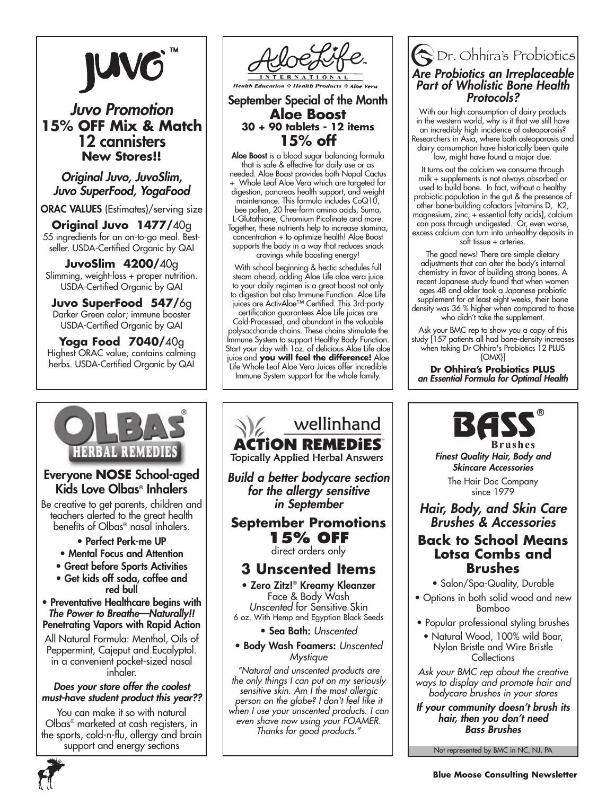

# *Juvo Promotion* **15% OFF Mix & Match** 12 cannisters **New Stores!!**

*Original Juvo, JuvoSlim, Juvo SuperFood, YogaFood*

ORAC VALUES (Estimates)/serving size

**Original Juvo 1477/**40g 55 ingredients for an on-to-go meal. Bestseller. USDA-Certified Organic by QAI

**JuvoSlim 4200/**40g Slimming, weight-loss + proper nutrition. USDA-Certified Organic by QAI

**Juvo SuperFood 547/**6g Darker Green color; immune booster USDA-Certified Organic by QAI

**Yoga Food 7040/**40g Highest ORAC value; contains calming herbs. USDA-Certified Organic by QAI



### Everyone **Nose** School-aged Kids Love Olbas® Inhalers

Be creative to get parents, children and teachers alerted to the great health benefits of Olbas® nasal inhalers.

- Perfect Perk-me UP
- Mental Focus and Attention
- Great before Sports Activities
- Get kids off soda, coffee and red bull

• Preventative Healthcare begins with *The Power to Breathe—Naturally!!* Penetrating Vapors with Rapid Action

All Natural Formula: Menthol, Oils of Peppermint, Cajeput and Eucalyptol. in a convenient pocket-sized nasal inhaler.

#### *Does your store offer the coolest must-have student product this year??*

You can make it so with natural Olbas® marketed at cash registers, in the sports, cold-n-flu, allergy and brain support and energy sections



September Special of the Month **Aloe Boost 30 + 90 tablets - 12 items 15% off**

**Aloe Boost** is a blood sugar balancing formula that is safe & effective for daily use or as needed. Aloe Boost provides both Nopal Cactus + Whole Leaf Aloe Vera which are targeted for digestion, pancreas health support, and weight maintenance. This formula includes CoQ10, bee pollen, 20 free-form amino acids, Suma, L-Glutathione, Chromium Picolinate and more. Together, these nutrients help to increase stamina, concentration + to optimize health! Aloe Boost supports the body in a way that reduces snack cravings while boosting energy!

With school beginning & hectic schedules full steam ahead, adding Aloe Life aloe vera juice to your daily regimen is a great boost not only to digestion but also Immune Function. Aloe Life juices are ActivAloe™ Certified. This 3rd-party

certification guarantees Aloe Life juices are Cold-Processed, and abundant in the valuable polysaccharide chains. These chains stimulate the Immune System to support Healthy Body Function. Start your day with 1oz. of delicious Aloe Life aloe juice and **you will feel the difference!** Aloe Life Whole Leaf Aloe Vera Juices offer incredible

Immune System support for the whole family.

# wellinhand **ACTION REMEDIES Topically Applied Herbal Answers** *Build a better bodycare section for the allergy sensitive in September*

**September Promotions 15% OFF**

direct orders only

# **3 Unscented Items**

• Zero Zitz!® Kreamy Kleanzer Face & Body Wash *Unscented* for Sensitive Skin 6 oz. With Hemp and Egyptian Black Seeds

• Sea Bath: *Unscented*

• Body Wash Foamers: *Unscented Mystique*

*"Natural and unscented products are the only things I can put on my seriously sensitive skin. Am I the most allergic person on the globe? I don't feel like it when I use your unscented products. I can even shave now using your FOAMER. Thanks for good products."*

### Dr. Ohhira's Probiotics *Are Probiotics an Irreplaceable Part of Wholistic Bone Health Protocols?*

With our high consumption of dairy products in the western world, why is it that we still have an incredibly high incidence of osteoporosis? Researchers in Asia, where both osteoporosis and dairy consumption have historically been quite low, might have found a major clue.

It turns out the calcium we consume through milk + supplements is not always absorbed or used to build bone. In fact, without a healthy probiotic population in the gut & the presence of other bone-building cofactors [vitamins D, K2, magnesium, zinc, + essential fatty acids], calcium can pass through undigested. Or, even worse, excess calcium can turn into unhealthy deposits in soft tissue + arteries.

The good news! There are simple dietary adjustments that can alter the body's internal chemistry in favor of building strong bones. A recent Japanese study found that when women ages 48 and older took a Japanese probiotic supplement for at least eight weeks, their bone density was 36 % higher when compared to those who didn't take the supplement.

Ask your BMC rep to show you a copy of this study [157 patients all had bone-density increases when taking Dr Ohhira's Probiotics 12 PLUS {OMX}]

**Dr Ohhira's Probiotics PLUS** *an Essential Formula for Optimal Health*



Brushes *Finest Quality Hair, Body and Skincare Accessories* The Hair Doc Company

since 1979

### *Hair, Body, and Skin Care Brushes & Accessories*

### **Back to School Means Lotsa Combs and Brushes**

• Salon/Spa-Quality, Durable

• Options in both solid wood and new Bamboo

- Popular professional styling brushes
- Natural Wood, 100% wild Boar, Nylon Bristle and Wire Bristle **Collections**

*Ask your BMC rep about the creative ways to display and promote hair and bodycare brushes in your stores*

*If your community doesn't brush its hair, then you don't need Bass Brushes*

Not represented by BMC in NC, NJ, PA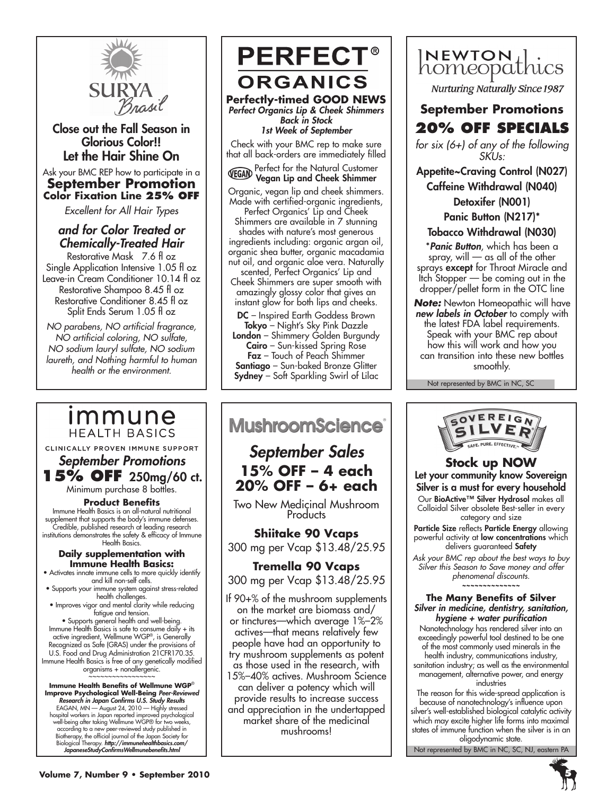

Close out the Fall Season in Glorious Color!! Let the Hair Shine On

#### Ask your BMC REP how to participate in a **September Promotion Color Fixation Line 25% off**

*Excellent for All Hair Types* 

### *and for Color Treated or Chemically-Treated Hair*

Restorative Mask 7.6 fl oz Single Application Intensive 1.05 fl oz Leave-in Cream Conditioner 10.14 fl oz Restorative Shampoo 8.45 fl oz Restorative Conditioner 8.45 fl oz Split Ends Serum 1.05 fl oz

*NO parabens, NO artificial fragrance, NO artificial coloring, NO sulfate, NO sodium lauryl sulfate, NO sodium laureth, and Nothing harmful to human health or the environment.*

### **Immune HEALTH BASICS**

CLINICALLY PROVEN IMMUNE SUPPORT

# *September Promotions* **15% OFF** 250mg/60 ct.

Minimum purchase 8 bottles.

#### **Product Benefits**

Immune Health Basics is an all-natural nutritional supplement that supports the body's immune defenses. Credible, published research at leading research institutions demonstrates the safety & efficacy of Immune Health Basics.

#### **Daily supplementation with Immune Health Basics:**

- Activates innate immune cells to more quickly identify and kill non-self cells.
- Supports your immune system against stress-related health challenges.
- Improves vigor and mental clarity while reducing fatigue and tension.

• Supports general health and well-being. Immune Health Basics is safe to consume daily + its active ingredient, Wellmune WGP®, is Generally Recognized as Safe (GRAS) under the provisions of U.S. Food and Drug Administration 21 CFR170.35. Immune Health Basics is free of any genetically modified

organisms + nonallergenic. ~~~~~~~~~~~~~~~~

**Immune Health Benefits of Wellmune WGP**® **Improve Psychological Well-Being** *Peer-Reviewed Research in Japan Confirms U.S. Study Results* EAGAN, MN — August 24, 2010 — Highly stressed hospital workers in Japan reported improved psychological well-being after taking Wellmune WGP® for two weeks, according to a new peer-reviewed study published in Biotherapy, the official journal of the Japan Society for Biological Therapy. *http://immunehealthbasics.com/ JapaneseStudyConfirmsWellmunebenefits.html*

**PERFECT® ORGANICS Perfectly-timed GOOD NEWS** *Perfect Organics Lip & Cheek Shimmers Back in Stock 1st Week of September* Check with your BMC rep to make sure that all back-orders are immediately filled **Perfect for the Natural Customer** 

Vegan Lip and Cheek Shimmer

Organic, vegan lip and cheek shimmers. Made with certified-organic ingredients,

Perfect Organics' Lip and Cheek Shimmers are available in 7 stunning shades with nature's most generous ingredients including: organic argan oil, organic shea butter, organic macadamia nut oil, and organic aloe vera. Naturally

scented, Perfect Organics' Lip and Cheek Shimmers are super smooth with amazingly glossy color that gives an instant glow for both lips and cheeks.

DC – Inspired Earth Goddess Brown Tokyo – Night's Sky Pink Dazzle London - Shimmery Golden Burgundy

Cairo - Sun-kissed Spring Rose Faz – Touch of Peach Shimmer Santiago – Sun-baked Bronze Glitter Sydney – Soft Sparkling Swirl of Lilac

# **MushroomScience**®

# *September Sales* **15% OFF – 4 each 20% OFF – 6+ each**

Two New Medicinal Mushroom **Products** 

### **Shiitake 90 Vcaps**  300 mg per Vcap \$13.48/25.95

**Tremella 90 Vcaps**  300 mg per Vcap \$13.48/25.95

If 90+% of the mushroom supplements on the market are biomass and/ or tinctures—which average 1%–2% actives—that means relatively few people have had an opportunity to try mushroom supplements as potent as those used in the research, with 15%–40% actives. Mushroom Science can deliver a potency which will provide results to increase success and appreciation in the undertapped market share of the medicinal mushrooms!



**Nurturing Naturally Since 1987** 

# **September Promotions 20% OFF Specials**

*for six (6+) of any of the following SKUs:*

Appetite~Craving Control (N027) Caffeine Withdrawal (N040) Detoxifer (N001)

Panic Button (N217)\*

### Tobacco Withdrawal (N030)

\**Panic Button*, which has been a spray, will — as all of the other sprays **except** for Throat Miracle and Itch Stopper — be coming out in the dropper/pellet form in the OTC line

*Note:* Newton Homeopathic will have *new labels in October* to comply with the latest FDA label requirements. Speak with your BMC rep about how this will work and how you can transition into these new bottles smoothly.

Not represented by BMC in NC, SC



**Stock up NOW** Let your community know Sovereign Silver is a must for every household Our BioActive™ Silver Hydrosol makes all Colloidal Silver obsolete Best-seller in every category and size Particle Size reflects Particle Energy allowing

powerful activity at low concentrations which delivers guaranteed Safety

*Ask your BMC rep about the best ways to buy Silver this Season to Save money and offer phenomenal discounts.* **~~~~~~~~~~~~~~**

**The Many Benefits of Silver** *Silver in medicine, dentistry, sanitation, hygiene + water purification*

Nanotechnology has rendered silver into an exceedingly powerful tool destined to be one of the most commonly used minerals in the health industry, communications industry, sanitation industry; as well as the environmental management, alternative power, and energy industries

The reason for this wide-spread application is because of nanotechnology's influence upon silver's well-established biological catalytic activity which may excite higher life forms into maximal states of immune function when the silver is in an oligodynamic state.

Not represented by BMC in NC, SC, NJ, eastern PA

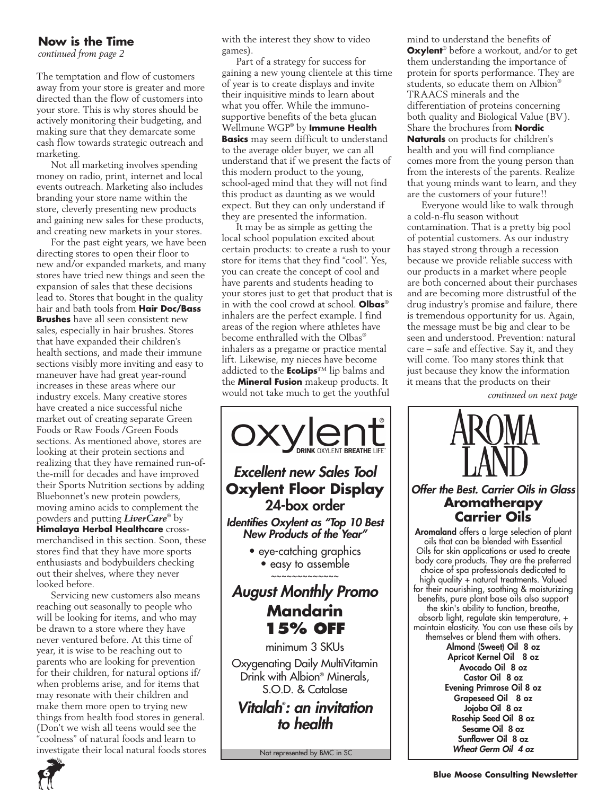### **Now is the Time**

*continued from page 2*

The temptation and flow of customers away from your store is greater and more directed than the flow of customers into your store. This is why stores should be actively monitoring their budgeting, and making sure that they demarcate some cash flow towards strategic outreach and marketing.

Not all marketing involves spending money on radio, print, internet and local events outreach. Marketing also includes branding your store name within the store, cleverly presenting new products and gaining new sales for these products, and creating new markets in your stores.

For the past eight years, we have been directing stores to open their floor to new and/or expanded markets, and many stores have tried new things and seen the expansion of sales that these decisions lead to. Stores that bought in the quality hair and bath tools from **Hair Doc/Bass Brushes** have all seen consistent new sales, especially in hair brushes. Stores that have expanded their children's health sections, and made their immune sections visibly more inviting and easy to maneuver have had great year-round increases in these areas where our industry excels. Many creative stores have created a nice successful niche market out of creating separate Green Foods or Raw Foods /Green Foods sections. As mentioned above, stores are looking at their protein sections and realizing that they have remained run-ofthe-mill for decades and have improved their Sports Nutrition sections by adding Bluebonnet's new protein powders, moving amino acids to complement the powders and putting *LiverCare*® by **Himalaya Herbal Healthcare** crossmerchandised in this section. Soon, these stores find that they have more sports enthusiasts and bodybuilders checking out their shelves, where they never looked before.

Servicing new customers also means reaching out seasonally to people who will be looking for items, and who may be drawn to a store where they have never ventured before. At this time of year, it is wise to be reaching out to parents who are looking for prevention for their children, for natural options if/ when problems arise, and for items that may resonate with their children and make them more open to trying new things from health food stores in general. (Don't we wish all teens would see the "coolness" of natural foods and learn to investigate their local natural foods stores with the interest they show to video games).

Part of a strategy for success for gaining a new young clientele at this time of year is to create displays and invite their inquisitive minds to learn about what you offer. While the immunosupportive benefits of the beta glucan Wellmune WGP® by **Immune Health Basics** may seem difficult to understand to the average older buyer, we can all understand that if we present the facts of this modern product to the young, school-aged mind that they will not find this product as daunting as we would expect. But they can only understand if they are presented the information.

It may be as simple as getting the local school population excited about certain products: to create a rush to your store for items that they find "cool". Yes, you can create the concept of cool and have parents and students heading to your stores just to get that product that is in with the cool crowd at school. **Olbas**® inhalers are the perfect example. I find areas of the region where athletes have become enthralled with the Olbas® inhalers as a pregame or practice mental lift. Likewise, my nieces have become addicted to the **EcoLips**™ lip balms and the **Mineral Fusion** makeup products. It would not take much to get the youthful



Not represented by BMC in SC

mind to understand the benefits of **Oxylent**® before a workout, and/or to get them understanding the importance of protein for sports performance. They are students, so educate them on Albion® TRAACS minerals and the differentiation of proteins concerning both quality and Biological Value (BV). Share the brochures from **Nordic Naturals** on products for children's health and you will find compliance comes more from the young person than from the interests of the parents. Realize that young minds want to learn, and they are the customers of your future!!

Everyone would like to walk through a cold-n-flu season without contamination. That is a pretty big pool of potential customers. As our industry has stayed strong through a recession because we provide reliable success with our products in a market where people are both concerned about their purchases and are becoming more distrustful of the drug industry's promise and failure, there is tremendous opportunity for us. Again, the message must be big and clear to be seen and understood. Prevention: natural care – safe and effective. Say it, and they will come. Too many stores think that just because they know the information it means that the products on their

*continued on next page*



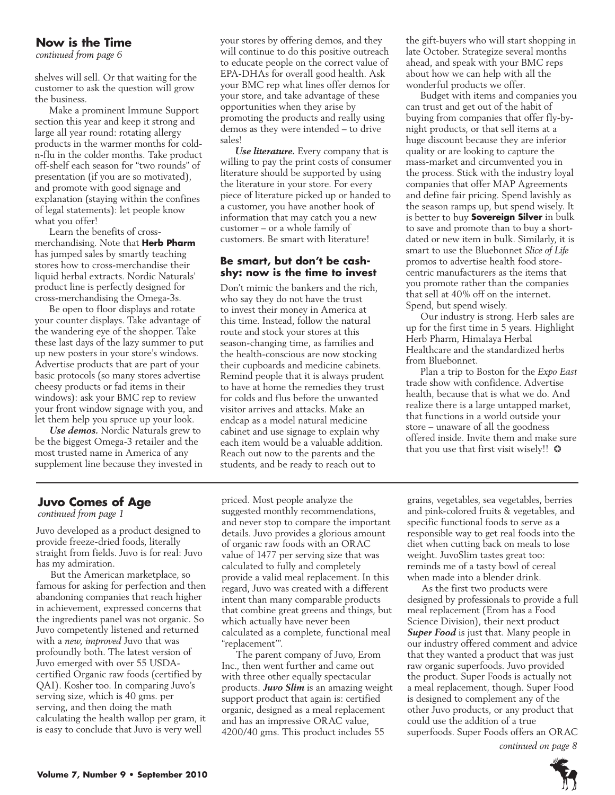### **Now is the Time**

*continued from page 6*

shelves will sell. Or that waiting for the customer to ask the question will grow the business.

Make a prominent Immune Support section this year and keep it strong and large all year round: rotating allergy products in the warmer months for coldn-flu in the colder months. Take product off-shelf each season for "two rounds" of presentation (if you are so motivated), and promote with good signage and explanation (staying within the confines of legal statements): let people know what you offer!

Learn the benefits of crossmerchandising. Note that **Herb Pharm**  has jumped sales by smartly teaching stores how to cross-merchandise their liquid herbal extracts. Nordic Naturals' product line is perfectly designed for cross-merchandising the Omega-3s.

Be open to floor displays and rotate your counter displays. Take advantage of the wandering eye of the shopper. Take these last days of the lazy summer to put up new posters in your store's windows. Advertise products that are part of your basic protocols (so many stores advertise cheesy products or fad items in their windows): ask your BMC rep to review your front window signage with you, and let them help you spruce up your look.

*Use demos.* Nordic Naturals grew to be the biggest Omega-3 retailer and the most trusted name in America of any supplement line because they invested in your stores by offering demos, and they will continue to do this positive outreach to educate people on the correct value of EPA-DHAs for overall good health. Ask your BMC rep what lines offer demos for your store, and take advantage of these opportunities when they arise by promoting the products and really using demos as they were intended – to drive sales!

*Use literature.* Every company that is willing to pay the print costs of consumer literature should be supported by using the literature in your store. For every piece of literature picked up or handed to a customer, you have another hook of information that may catch you a new customer – or a whole family of customers. Be smart with literature!

#### **Be smart, but don't be cashshy: now is the time to invest**

Don't mimic the bankers and the rich, who say they do not have the trust to invest their money in America at this time. Instead, follow the natural route and stock your stores at this season-changing time, as families and the health-conscious are now stocking their cupboards and medicine cabinets. Remind people that it is always prudent to have at home the remedies they trust for colds and flus before the unwanted visitor arrives and attacks. Make an endcap as a model natural medicine cabinet and use signage to explain why each item would be a valuable addition. Reach out now to the parents and the students, and be ready to reach out to

the gift-buyers who will start shopping in late October. Strategize several months ahead, and speak with your BMC reps about how we can help with all the wonderful products we offer.

Budget with items and companies you can trust and get out of the habit of buying from companies that offer fly-bynight products, or that sell items at a huge discount because they are inferior quality or are looking to capture the mass-market and circumvented you in the process. Stick with the industry loyal companies that offer MAP Agreements and define fair pricing. Spend lavishly as the season ramps up, but spend wisely. It is better to buy **Sovereign Silver** in bulk to save and promote than to buy a shortdated or new item in bulk. Similarly, it is smart to use the Bluebonnet *Slice of Life*  promos to advertise health food storecentric manufacturers as the items that you promote rather than the companies that sell at 40% off on the internet. Spend, but spend wisely.

Our industry is strong. Herb sales are up for the first time in 5 years. Highlight Herb Pharm, Himalaya Herbal Healthcare and the standardized herbs from Bluebonnet.

Plan a trip to Boston for the *Expo East* trade show with confidence. Advertise health, because that is what we do. And realize there is a large untapped market, that functions in a world outside your store – unaware of all the goodness offered inside. Invite them and make sure that you use that first visit wisely!!  $\odot$ 

### **Juvo Comes of Age**

*continued from page 1*

Juvo developed as a product designed to provide freeze-dried foods, literally straight from fields. Juvo is for real: Juvo has my admiration.

But the American marketplace, so famous for asking for perfection and then abandoning companies that reach higher in achievement, expressed concerns that the ingredients panel was not organic. So Juvo competently listened and returned with a *new, improved* Juvo that was profoundly both. The latest version of Juvo emerged with over 55 USDAcertified Organic raw foods (certified by QAI). Kosher too. In comparing Juvo's serving size, which is 40 gms. per serving, and then doing the math calculating the health wallop per gram, it is easy to conclude that Juvo is very well

priced. Most people analyze the suggested monthly recommendations, and never stop to compare the important details. Juvo provides a glorious amount of organic raw foods with an ORAC value of 1477 per serving size that was calculated to fully and completely provide a valid meal replacement. In this regard, Juvo was created with a different intent than many comparable products that combine great greens and things, but which actually have never been calculated as a complete, functional meal "replacement'".

The parent company of Juvo, Erom Inc., then went further and came out with three other equally spectacular products. *Juvo Slim* is an amazing weight support product that again is: certified organic, designed as a meal replacement and has an impressive ORAC value, 4200/40 gms. This product includes 55

grains, vegetables, sea vegetables, berries and pink-colored fruits & vegetables, and specific functional foods to serve as a responsible way to get real foods into the diet when cutting back on meals to lose weight. JuvoSlim tastes great too: reminds me of a tasty bowl of cereal when made into a blender drink.

As the first two products were designed by professionals to provide a full meal replacement (Erom has a Food Science Division), their next product *Super Food* is just that. Many people in our industry offered comment and advice that they wanted a product that was just raw organic superfoods. Juvo provided the product. Super Foods is actually not a meal replacement, though. Super Food is designed to complement any of the other Juvo products, or any product that could use the addition of a true superfoods. Super Foods offers an ORAC *continued on page 8*